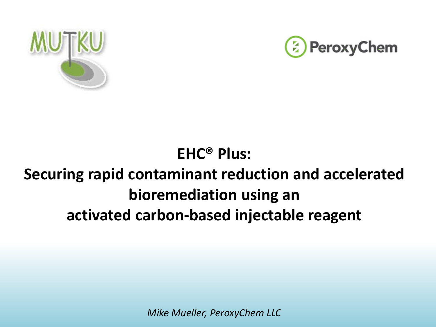



## **EHC® Plus: Securing rapid contaminant reduction and accelerated bioremediation using an activated carbon-based injectable reagent**

*Mike Mueller, PeroxyChem LLC*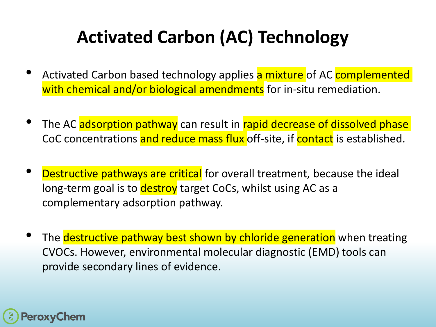## **Activated Carbon (AC) Technology**

- Activated Carbon based technology applies a mixture of AC complemented with chemical and/or biological amendments for in-situ remediation.
- The AC adsorption pathway can result in rapid decrease of dissolved phase CoC concentrations and reduce mass flux off-site, if contact is established.
- Destructive pathways are critical for overall treatment, because the ideal long-term goal is to destroy target CoCs, whilst using AC as a complementary adsorption pathway.
- The **destructive pathway best shown by chloride generation** when treating CVOCs. However, environmental molecular diagnostic (EMD) tools can provide secondary lines of evidence.

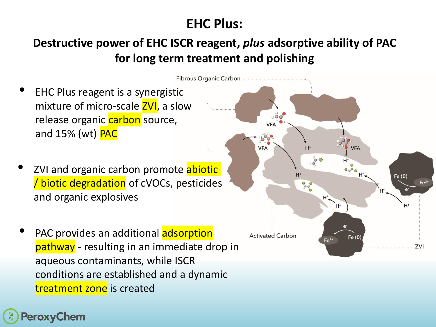### **EHC Plus:**

### **Destructive power of EHC ISCR reagent,** *plus* **adsorptive ability of PAC for long term treatment and polishing**

- EHC Plus reagent is a synergistic mixture of micro-scale **ZVI**, a slow EHC® Plus release organic carbon source, VF/ and  $15%$  (wt)  $PAC$ ZVI and organic carbon promote abiotic Fe (0) / biotic degradation of cVOCs, pesticides and organic explosives  $H^+$ H+ PAC provides an additional adsorption **Activated Carbon** Fe $(0)$  $Fe<sup>2+</sup>$ pathway - resulting in an immediate drop in ZVI aqueous contaminants, while ISCR
- conditions are established and a dynamic treatment zone is created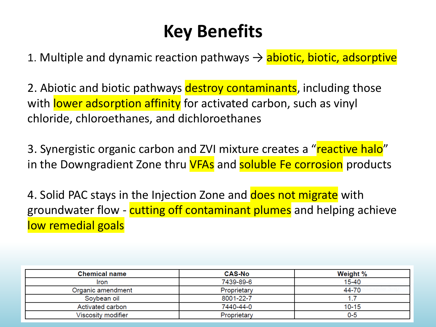## **Key Benefits**

1. Multiple and dynamic reaction pathways  $\rightarrow$  abiotic, biotic, adsorptive

2. Abiotic and biotic pathways destroy contaminants, including those with lower adsorption affinity for activated carbon, such as vinyl chloride, chloroethanes, and dichloroethanes

3. Synergistic organic carbon and ZVI mixture creates a "reactive halo" in the Downgradient Zone thru VFAs and soluble Fe corrosion products

4. Solid PAC stays in the Injection Zone and does not migrate with groundwater flow - cutting off contaminant plumes and helping achieve low remedial goals

| <b>Chemical name</b> | <b>CAS-No</b> | Weight %  |
|----------------------|---------------|-----------|
| Iron                 | 7439-89-6     | $15 - 40$ |
| Organic amendment    | Proprietary   | 44-70     |
| Soybean oil          | 8001-22-7     |           |
| Activated carbon     | 7440-44-0     | $10 - 15$ |
| Viscosity modifier   | Proprietary   | 0-5       |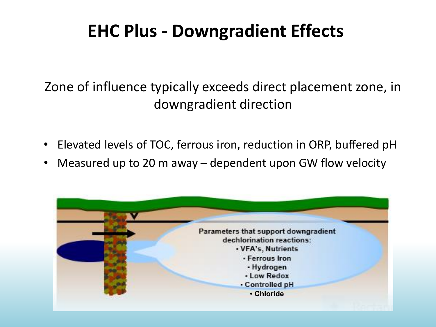## **EHC Plus - Downgradient Effects**

### Zone of influence typically exceeds direct placement zone, in downgradient direction

- Elevated levels of TOC, ferrous iron, reduction in ORP, buffered pH
- Measured up to 20 m away  $-$  dependent upon GW flow velocity

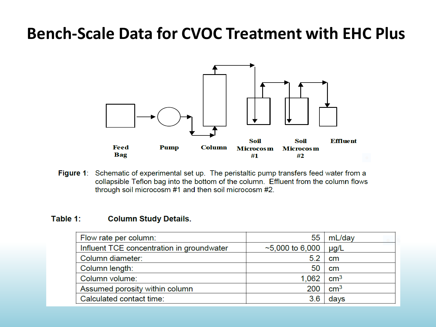## **Bench-Scale Data for CVOC Treatment with EHC Plus**



Figure 1: Schematic of experimental set up. The peristaltic pump transfers feed water from a collapsible Teflon bag into the bottom of the column. Effluent from the column flows through soil microcosm #1 and then soil microcosm #2.

#### Table 1: **Column Study Details.**

| Flow rate per column:                     | 55                    | mL/day            |
|-------------------------------------------|-----------------------|-------------------|
| Influent TCE concentration in groundwater | $\sim$ 5,000 to 6,000 | $\mu$ g/L         |
| Column diameter:                          | 5.2                   | cm                |
| Column length:                            | 50                    | cm                |
| Column volume:                            | 1,062                 | $\textsf{cm}^{3}$ |
| Assumed porosity within column            | 200                   | $\text{cm}^3$     |
| Calculated contact time:                  | 3.6                   | days              |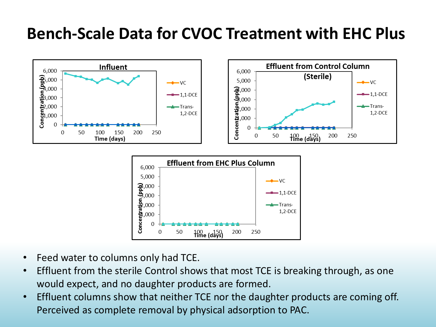## **Bench-Scale Data for CVOC Treatment with EHC Plus**





- Feed water to columns only had TCE.
- Effluent from the sterile Control shows that most TCE is breaking through, as one would expect, and no daughter products are formed.
- Effluent columns show that neither TCE nor the daughter products are coming off. Perceived as complete removal by physical adsorption to PAC.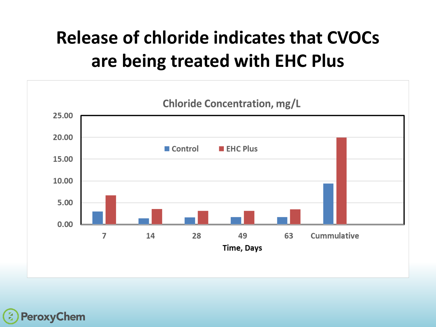# **Release of chloride indicates that CVOCs are being treated with EHC Plus**





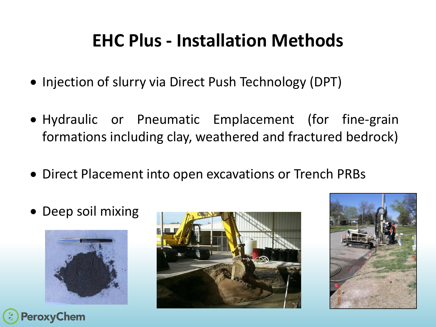## **EHC Plus - Installation Methods**

- Injection of slurry via Direct Push Technology (DPT)
- Hydraulic or Pneumatic Emplacement (for fine-grain formations including clay, weathered and fractured bedrock)
- Direct Placement into open excavations or Trench PRBs
- Deep soil mixing





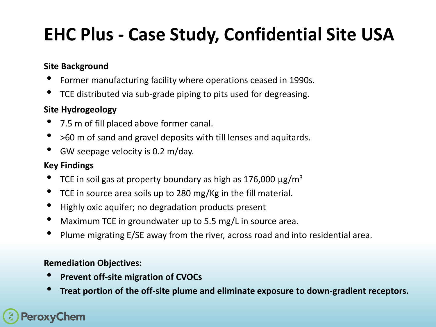## **EHC Plus - Case Study, Confidential Site USA**

#### **Site Background**

- Former manufacturing facility where operations ceased in 1990s.
- TCE distributed via sub-grade piping to pits used for degreasing.

#### **Site Hydrogeology**

- 7.5 m of fill placed above former canal.
- >60 m of sand and gravel deposits with till lenses and aquitards.
- GW seepage velocity is 0.2 m/day.

#### **Key Findings**

- TCE in soil gas at property boundary as high as 176,000  $\mu$ g/m<sup>3</sup>
- TCE in source area soils up to 280 mg/Kg in the fill material.
- Highly oxic aquifer; no degradation products present
- Maximum TCE in groundwater up to 5.5 mg/L in source area.
- Plume migrating E/SE away from the river, across road and into residential area.

#### **Remediation Objectives:**

- **Prevent off-site migration of CVOCs**
- **Treat portion of the off-site plume and eliminate exposure to down-gradient receptors.**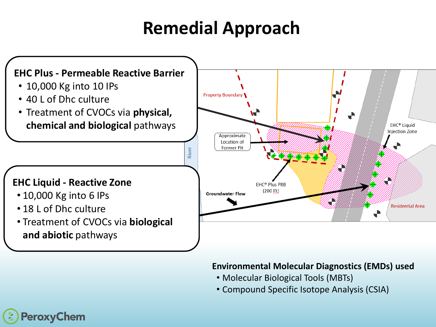## **Remedial Approach**



#### **Environmental Molecular Diagnostics (EMDs) used**

- Molecular Biological Tools (MBTs)
- Compound Specific Isotope Analysis (CSIA)

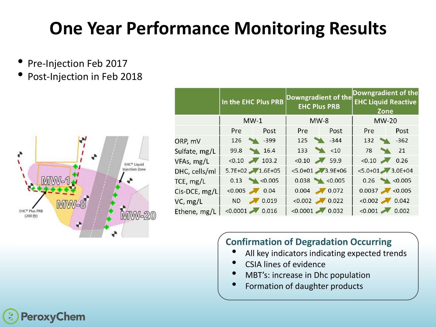## **One Year Performance Monitoring Results**

- Pre-Injection Feb 2017
- Post-Injection in Feb 2018



|               | In the EHC Plus PRB |                  | Downgradient of the<br><b>EHC Plus PRB</b> |                 | Downgradient of the<br><b>EHC Liquid Reactive</b><br>Zone |                                            |
|---------------|---------------------|------------------|--------------------------------------------|-----------------|-----------------------------------------------------------|--------------------------------------------|
|               | $MW-1$              |                  | $MW-8$                                     |                 | $MW-20$                                                   |                                            |
|               | <b>Pre</b>          | Post             | <b>Pre</b>                                 | Post            | <b>Pre</b>                                                | Post                                       |
| ORP, mV       | 126                 | $\sim$ -399      | 125                                        | $-344$          | 132                                                       | $-362$<br><b>START OF BUILDING COMPANY</b> |
| Sulfate, mg/L | 99.8                | 16.4             |                                            | $133 \times 10$ | 78                                                        | 21                                         |
| VFAs, mg/L    | $< 0.10$ 103.2      |                  | $< 0.10$ 59.9                              |                 | $< 0.10$ 0.26                                             |                                            |
| DHC, cells/ml |                     | 5.7E+02 1.6E+05  | $< 5.0 + 01$ 3.9E+06                       |                 | $< 5.0 + 01$ 3.0E+04                                      |                                            |
| TCE, mg/L     |                     | $0.13$ < $0.005$ |                                            | $0.038$ <0.005  |                                                           | $0.26$ < $0.005$                           |
| Cis-DCE, mg/L | $< 0.005$ 0.04      |                  |                                            | $0.004$ 0.072   | $0.0037$ <0.005                                           |                                            |
| VC, mg/L      |                     | ND 7 0.019       | $< 0.002$ 0.022                            |                 | $< 0.002$ 0.042                                           |                                            |
| Ethene, mg/L  | $< 0.0001$ 0.016    |                  | $< 0.0001$ 0.032                           |                 | $< 0.001$ 0.002                                           |                                            |

### **Confirmation of Degradation Occurring**

- All key indicators indicating expected trends
- CSIA lines of evidence
- MBT's: increase in Dhc population
- Formation of daughter products

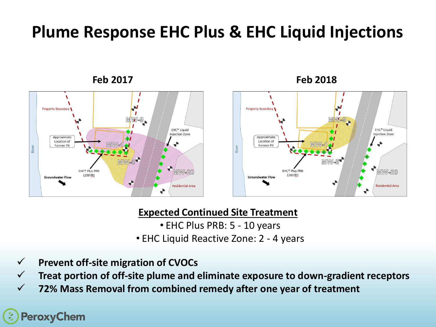## **Plume Response EHC Plus & EHC Liquid Injections**





![](_page_12_Figure_3.jpeg)

### **Expected Continued Site Treatment**

- EHC Plus PRB: 5 10 years
- EHC Liquid Reactive Zone: 2 4 years
- ✓ **Prevent off-site migration of CVOCs**

✓ **Treat portion of off-site plume and eliminate exposure to down-gradient receptors**

✓ **72% Mass Removal from combined remedy after one year of treatment**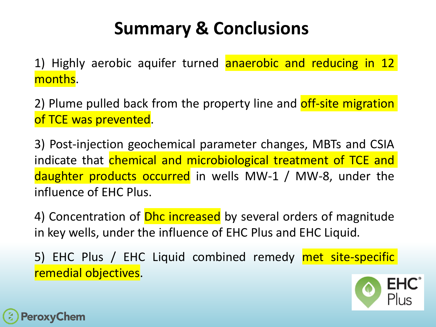## **Summary & Conclusions**

1) Highly aerobic aquifer turned anaerobic and reducing in 12 months.

2) Plume pulled back from the property line and off-site migration of TCE was prevented.

3) Post-injection geochemical parameter changes, MBTs and CSIA indicate that chemical and microbiological treatment of TCE and daughter products occurred in wells MW-1 / MW-8, under the influence of EHC Plus.

4) Concentration of **Dhc increased** by several orders of magnitude in key wells, under the influence of EHC Plus and EHC Liquid.

5) EHC Plus / EHC Liquid combined remedy met site-specific remedial objectives.

![](_page_13_Picture_6.jpeg)

![](_page_13_Picture_7.jpeg)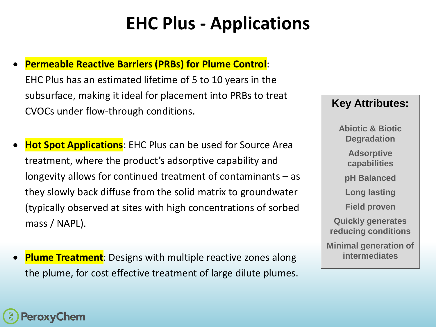## **EHC Plus - Applications**

### • **Permeable Reactive Barriers (PRBs) for Plume Control**:

EHC Plus has an estimated lifetime of 5 to 10 years in the subsurface, making it ideal for placement into PRBs to treat CVOCs under flow-through conditions.

**Hot Spot Applications**: EHC Plus can be used for Source Area treatment, where the product's adsorptive capability and longevity allows for continued treatment of contaminants – as they slowly back diffuse from the solid matrix to groundwater (typically observed at sites with high concentrations of sorbed mass / NAPL).

**Plume Treatment**: Designs with multiple reactive zones along the plume, for cost effective treatment of large dilute plumes.

### **Key Attributes:**

**Abiotic & Biotic Degradation Adsorptive capabilities pH Balanced Long lasting Field proven Quickly generates reducing conditions Minimal generation of intermediates**

![](_page_14_Picture_7.jpeg)